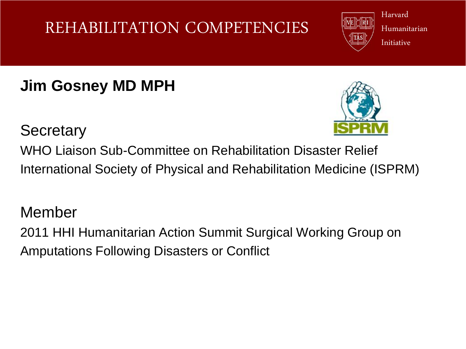# Harvard

#### Humanitarian **Initiative**

# **Jim Gosney MD MPH**



#### **Secretary**

WHO Liaison Sub-Committee on Rehabilitation Disaster Relief International Society of Physical and Rehabilitation Medicine (ISPRM)

#### Member

2011 HHI Humanitarian Action Summit Surgical Working Group on Amputations Following Disasters or Conflict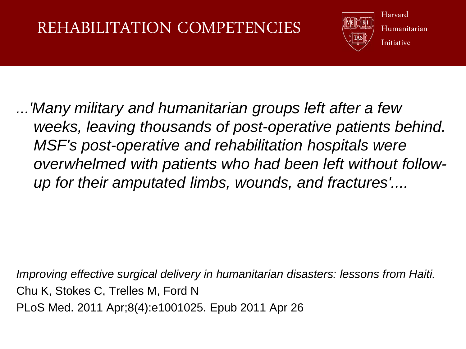

Harvard Humanitarian Initiative

*...'Many military and humanitarian groups left after a few weeks, leaving thousands of post-operative patients behind. MSF's post-operative and rehabilitation hospitals were overwhelmed with patients who had been left without followup for their amputated limbs, wounds, and fractures'....*

*Improving effective surgical delivery in humanitarian disasters: lessons from Haiti.*  Chu K, Stokes C, Trelles M, Ford N PLoS Med. 2011 Apr;8(4):e1001025. Epub 2011 Apr 26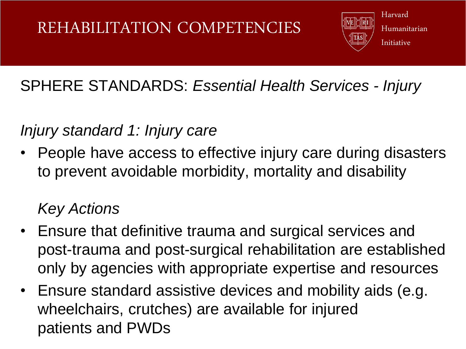

#### Humanitarian Initiative

## SPHERE STANDARDS: *Essential Health Services - Injury*

#### *Injury standard 1: Injury care*

• People have access to effective injury care during disasters to prevent avoidable morbidity, mortality and disability

## *Key Actions*

- Ensure that definitive trauma and surgical services and post-trauma and post-surgical rehabilitation are established only by agencies with appropriate expertise and resources
- Ensure standard assistive devices and mobility aids (e.g. wheelchairs, crutches) are available for injured patients and PWDs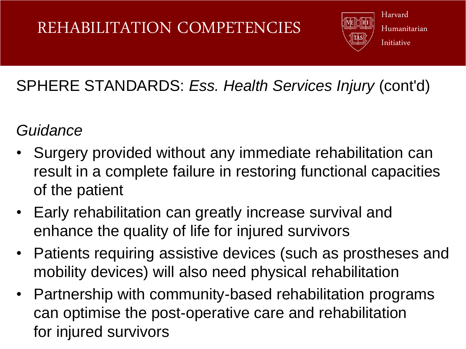

Harvard Humanitarian Initiative

# SPHERE STANDARDS: *Ess. Health Services Injury* (cont'd)

#### *Guidance*

- Surgery provided without any immediate rehabilitation can result in a complete failure in restoring functional capacities of the patient
- Early rehabilitation can greatly increase survival and enhance the quality of life for injured survivors
- Patients requiring assistive devices (such as prostheses and mobility devices) will also need physical rehabilitation
- Partnership with community-based rehabilitation programs can optimise the post-operative care and rehabilitation for injured survivors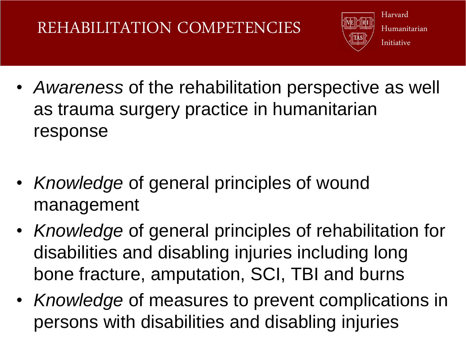

Harvard Humanitarian Initiative

- *Awareness* of the rehabilitation perspective as well as trauma surgery practice in humanitarian response
- *Knowledge* of general principles of wound management
- *Knowledge* of general principles of rehabilitation for disabilities and disabling injuries including long bone fracture, amputation, SCI, TBI and burns
- *Knowledge* of measures to prevent complications in persons with disabilities and disabling injuries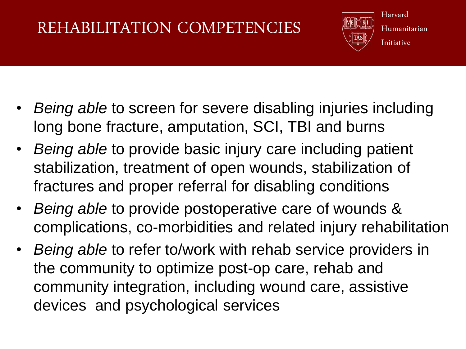

Harvard Humanitarian Initiative

- *Being able* to screen for severe disabling injuries including long bone fracture, amputation, SCI, TBI and burns
- *Being able* to provide basic injury care including patient stabilization, treatment of open wounds, stabilization of fractures and proper referral for disabling conditions
- *Being able* to provide postoperative care of wounds & complications, co-morbidities and related injury rehabilitation
- *Being able* to refer to/work with rehab service providers in the community to optimize post-op care, rehab and community integration, including wound care, assistive devices and psychological services